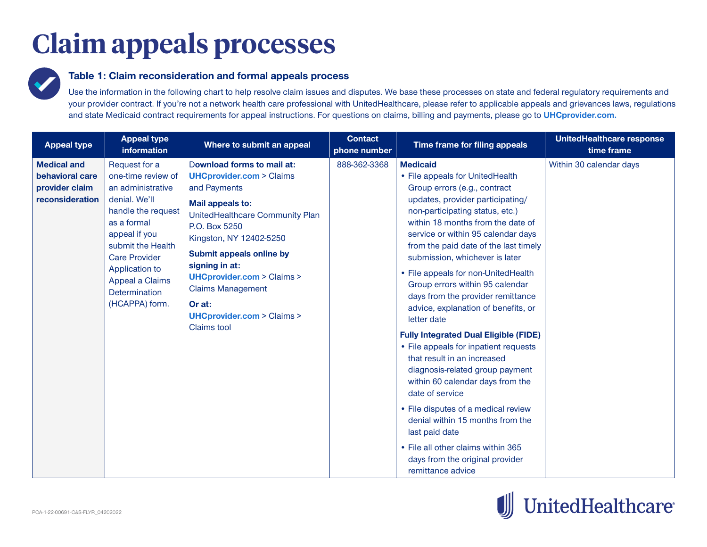## **Claim appeals processes**



## **Table 1: Claim reconsideration and formal appeals process**

Use the information in the following chart to help resolve claim issues and disputes. We base these processes on state and federal regulatory requirements and your provider contract. If you're not a network health care professional with UnitedHealthcare, please refer to applicable appeals and grievances laws, regulations and state Medicaid contract requirements for appeal instructions. For questions on claims, billing and payments, please go to **[UHCprovider.com](https://www.uhcprovider.com/en/claims-payments-billing.html).**

| <b>Appeal type</b>                                                         | <b>Appeal type</b><br><b>information</b>                                                                                                                                                                                                             | Where to submit an appeal                                                                                                                                                                                                                                                                                                                                                           | <b>Contact</b><br>phone number | Time frame for filing appeals                                                                                                                                                                                                                                                                                                                                                                                                                                                                                                                                                                                                                                                                                                                                                                                                                                                                     | UnitedHealthcare response<br>time frame |
|----------------------------------------------------------------------------|------------------------------------------------------------------------------------------------------------------------------------------------------------------------------------------------------------------------------------------------------|-------------------------------------------------------------------------------------------------------------------------------------------------------------------------------------------------------------------------------------------------------------------------------------------------------------------------------------------------------------------------------------|--------------------------------|---------------------------------------------------------------------------------------------------------------------------------------------------------------------------------------------------------------------------------------------------------------------------------------------------------------------------------------------------------------------------------------------------------------------------------------------------------------------------------------------------------------------------------------------------------------------------------------------------------------------------------------------------------------------------------------------------------------------------------------------------------------------------------------------------------------------------------------------------------------------------------------------------|-----------------------------------------|
| <b>Medical and</b><br>behavioral care<br>provider claim<br>reconsideration | Request for a<br>one-time review of<br>an administrative<br>denial. We'll<br>handle the request<br>as a formal<br>appeal if you<br>submit the Health<br><b>Care Provider</b><br>Application to<br>Appeal a Claims<br>Determination<br>(HCAPPA) form. | Download forms to mail at:<br><b>UHCprovider.com &gt; Claims</b><br>and Payments<br>Mail appeals to:<br>UnitedHealthcare Community Plan<br>P.O. Box 5250<br>Kingston, NY 12402-5250<br>Submit appeals online by<br>signing in at:<br><b>UHCprovider.com &gt; Claims &gt;</b><br><b>Claims Management</b><br>Or at:<br><b>UHCprovider.com &gt; Claims &gt;</b><br><b>Claims</b> tool | 888-362-3368                   | <b>Medicaid</b><br>• File appeals for UnitedHealth<br>Group errors (e.g., contract<br>updates, provider participating/<br>non-participating status, etc.)<br>within 18 months from the date of<br>service or within 95 calendar days<br>from the paid date of the last timely<br>submission, whichever is later<br>• File appeals for non-UnitedHealth<br>Group errors within 95 calendar<br>days from the provider remittance<br>advice, explanation of benefits, or<br>letter date<br><b>Fully Integrated Dual Eligible (FIDE)</b><br>• File appeals for inpatient requests<br>that result in an increased<br>diagnosis-related group payment<br>within 60 calendar days from the<br>date of service<br>• File disputes of a medical review<br>denial within 15 months from the<br>last paid date<br>• File all other claims within 365<br>days from the original provider<br>remittance advice | Within 30 calendar days                 |

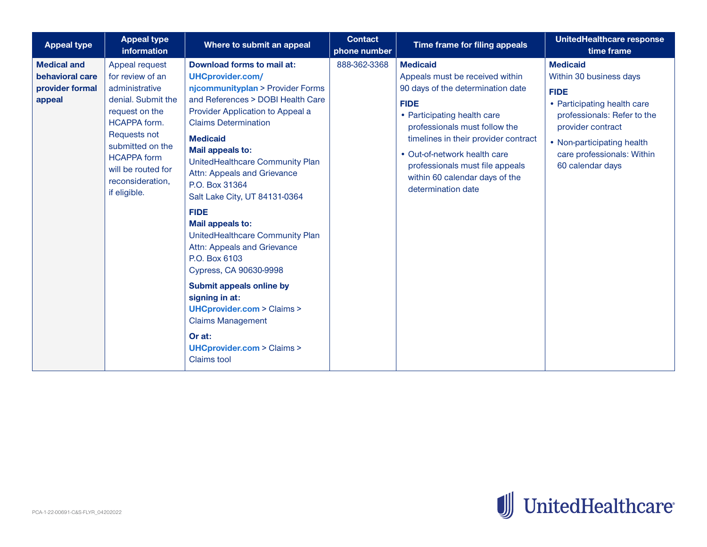| <b>Appeal type</b>                                                 | <b>Appeal type</b><br>information                                                                                                                                                                                                              | Where to submit an appeal                                                                                                                                                                                                                                                                                                                                                                                                                                                                                                                                                                                                                                                                                     | <b>Contact</b><br>phone number | Time frame for filing appeals                                                                                                                                                                                                                                                                                                             | <b>UnitedHealthcare response</b><br>time frame                                                                                                                                                                               |
|--------------------------------------------------------------------|------------------------------------------------------------------------------------------------------------------------------------------------------------------------------------------------------------------------------------------------|---------------------------------------------------------------------------------------------------------------------------------------------------------------------------------------------------------------------------------------------------------------------------------------------------------------------------------------------------------------------------------------------------------------------------------------------------------------------------------------------------------------------------------------------------------------------------------------------------------------------------------------------------------------------------------------------------------------|--------------------------------|-------------------------------------------------------------------------------------------------------------------------------------------------------------------------------------------------------------------------------------------------------------------------------------------------------------------------------------------|------------------------------------------------------------------------------------------------------------------------------------------------------------------------------------------------------------------------------|
| <b>Medical and</b><br>behavioral care<br>provider formal<br>appeal | Appeal request<br>for review of an<br>administrative<br>denial. Submit the<br>request on the<br><b>HCAPPA</b> form.<br><b>Requests not</b><br>submitted on the<br><b>HCAPPA form</b><br>will be routed for<br>reconsideration,<br>if eligible. | Download forms to mail at:<br><b>UHCprovider.com/</b><br>njcommunityplan > Provider Forms<br>and References > DOBI Health Care<br>Provider Application to Appeal a<br><b>Claims Determination</b><br><b>Medicaid</b><br>Mail appeals to:<br>UnitedHealthcare Community Plan<br>Attn: Appeals and Grievance<br>P.O. Box 31364<br>Salt Lake City, UT 84131-0364<br><b>FIDE</b><br>Mail appeals to:<br>UnitedHealthcare Community Plan<br>Attn: Appeals and Grievance<br>P.O. Box 6103<br>Cypress, CA 90630-9998<br>Submit appeals online by<br>signing in at:<br><b>UHCprovider.com &gt; Claims &gt;</b><br><b>Claims Management</b><br>Or at:<br><b>UHCprovider.com &gt; Claims &gt;</b><br><b>Claims</b> tool | 888-362-3368                   | <b>Medicaid</b><br>Appeals must be received within<br>90 days of the determination date<br><b>FIDE</b><br>• Participating health care<br>professionals must follow the<br>timelines in their provider contract<br>• Out-of-network health care<br>professionals must file appeals<br>within 60 calendar days of the<br>determination date | <b>Medicaid</b><br>Within 30 business days<br><b>FIDE</b><br>• Participating health care<br>professionals: Refer to the<br>provider contract<br>• Non-participating health<br>care professionals: Within<br>60 calendar days |

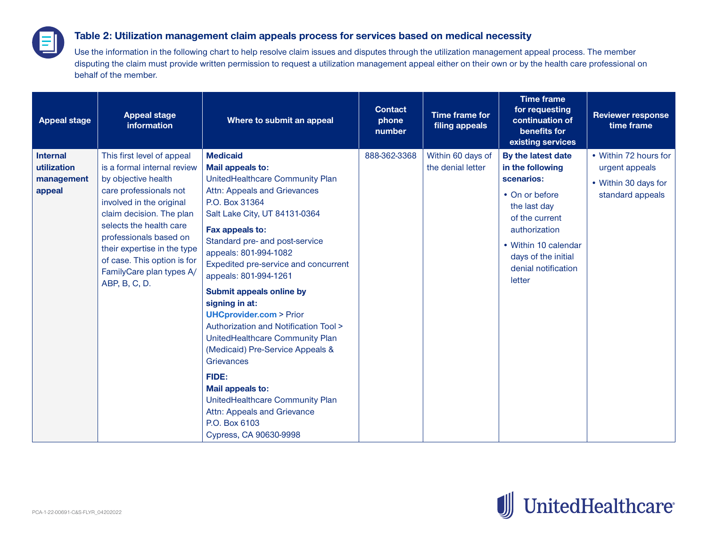## **Table 2: Utilization management claim appeals process for services based on medical necessity**

Use the information in the following chart to help resolve claim issues and disputes through the utilization management appeal process. The member disputing the claim must provide written permission to request a utilization management appeal either on their own or by the health care professional on behalf of the member.

| <b>Appeal stage</b>                                    | <b>Appeal stage</b><br>information                                                                                                                                                                                                                                                                                                 | Where to submit an appeal                                                                                                                                                                                                                                                                                                                                                                                                                                                                                                                                                                                                                                           | <b>Contact</b><br>phone<br>number | Time frame for<br>filing appeals       | <b>Time frame</b><br>for requesting<br>continuation of<br>benefits for<br>existing services                                                                                                               | <b>Reviewer response</b><br>time frame                                              |
|--------------------------------------------------------|------------------------------------------------------------------------------------------------------------------------------------------------------------------------------------------------------------------------------------------------------------------------------------------------------------------------------------|---------------------------------------------------------------------------------------------------------------------------------------------------------------------------------------------------------------------------------------------------------------------------------------------------------------------------------------------------------------------------------------------------------------------------------------------------------------------------------------------------------------------------------------------------------------------------------------------------------------------------------------------------------------------|-----------------------------------|----------------------------------------|-----------------------------------------------------------------------------------------------------------------------------------------------------------------------------------------------------------|-------------------------------------------------------------------------------------|
| <b>Internal</b><br>utilization<br>management<br>appeal | This first level of appeal<br>is a formal internal review<br>by objective health<br>care professionals not<br>involved in the original<br>claim decision. The plan<br>selects the health care<br>professionals based on<br>their expertise in the type<br>of case. This option is for<br>FamilyCare plan types A/<br>ABP, B, C, D. | <b>Medicaid</b><br>Mail appeals to:<br>UnitedHealthcare Community Plan<br>Attn: Appeals and Grievances<br>P.O. Box 31364<br>Salt Lake City, UT 84131-0364<br>Fax appeals to:<br>Standard pre- and post-service<br>appeals: 801-994-1082<br>Expedited pre-service and concurrent<br>appeals: 801-994-1261<br>Submit appeals online by<br>signing in at:<br><b>UHCprovider.com &gt; Prior</b><br>Authorization and Notification Tool ><br>UnitedHealthcare Community Plan<br>(Medicaid) Pre-Service Appeals &<br>Grievances<br>FIDE:<br>Mail appeals to:<br>UnitedHealthcare Community Plan<br>Attn: Appeals and Grievance<br>P.O. Box 6103<br>Cypress, CA 90630-9998 | 888-362-3368                      | Within 60 days of<br>the denial letter | By the latest date<br>in the following<br>scenarios:<br>• On or before<br>the last day<br>of the current<br>authorization<br>• Within 10 calendar<br>days of the initial<br>denial notification<br>letter | • Within 72 hours for<br>urgent appeals<br>• Within 30 days for<br>standard appeals |